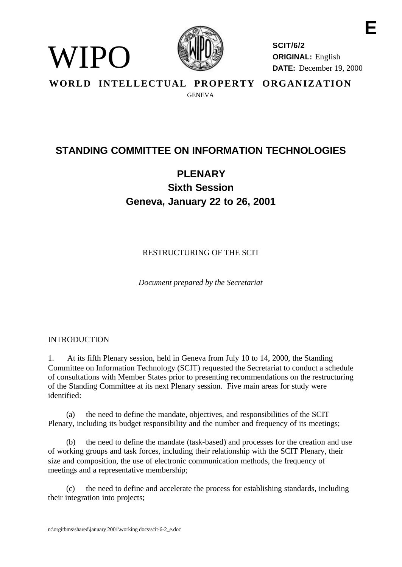

**SCIT/6/2 ORIGINAL:** English **DATE:** December 19, 2000

**WORLD INTELLECTUAL PROPERTY ORGANIZATION GENEVA** 

# **STANDING COMMITTEE ON INFORMATION TECHNOLOGIES**

# **PLENARY Sixth Session Geneva, January 22 to 26, 2001**

RESTRUCTURING OF THE SCIT

*Document prepared by the Secretariat*

#### INTRODUCTION

WIP()

1. At its fifth Plenary session, held in Geneva from July 10 to 14, 2000, the Standing Committee on Information Technology (SCIT) requested the Secretariat to conduct a schedule of consultations with Member States prior to presenting recommendations on the restructuring of the Standing Committee at its next Plenary session. Five main areas for study were identified:

(a) the need to define the mandate, objectives, and responsibilities of the SCIT Plenary, including its budget responsibility and the number and frequency of its meetings;

(b) the need to define the mandate (task-based) and processes for the creation and use of working groups and task forces, including their relationship with the SCIT Plenary, their size and composition, the use of electronic communication methods, the frequency of meetings and a representative membership;

(c) the need to define and accelerate the process for establishing standards, including their integration into projects;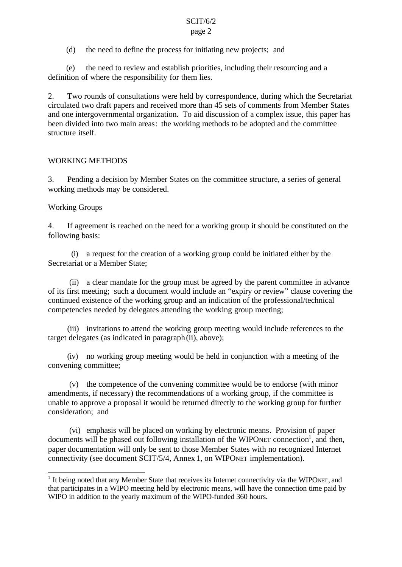# SCIT/6/2

## page 2

(d) the need to define the process for initiating new projects; and

(e) the need to review and establish priorities, including their resourcing and a definition of where the responsibility for them lies.

2. Two rounds of consultations were held by correspondence, during which the Secretariat circulated two draft papers and received more than 45 sets of comments from Member States and one intergovernmental organization. To aid discussion of a complex issue, this paper has been divided into two main areas: the working methods to be adopted and the committee structure itself.

# WORKING METHODS

3. Pending a decision by Member States on the committee structure, a series of general working methods may be considered.

# Working Groups

l

4. If agreement is reached on the need for a working group it should be constituted on the following basis:

 (i) a request for the creation of a working group could be initiated either by the Secretariat or a Member State;

 (ii) a clear mandate for the group must be agreed by the parent committee in advance of its first meeting; such a document would include an "expiry or review" clause covering the continued existence of the working group and an indication of the professional/technical competencies needed by delegates attending the working group meeting;

(iii) invitations to attend the working group meeting would include references to the target delegates (as indicated in paragraph (ii), above);

(iv) no working group meeting would be held in conjunction with a meeting of the convening committee;

 (v) the competence of the convening committee would be to endorse (with minor amendments, if necessary) the recommendations of a working group, if the committee is unable to approve a proposal it would be returned directly to the working group for further consideration; and

 (vi) emphasis will be placed on working by electronic means. Provision of paper documents will be phased out following installation of the WIPONET connection<sup>1</sup>, and then, paper documentation will only be sent to those Member States with no recognized Internet connectivity (see document SCIT/5/4, Annex 1, on WIPONET implementation).

<sup>&</sup>lt;sup>1</sup> It being noted that any Member State that receives its Internet connectivity via the WIPONET, and that participates in a WIPO meeting held by electronic means, will have the connection time paid by WIPO in addition to the yearly maximum of the WIPO-funded 360 hours.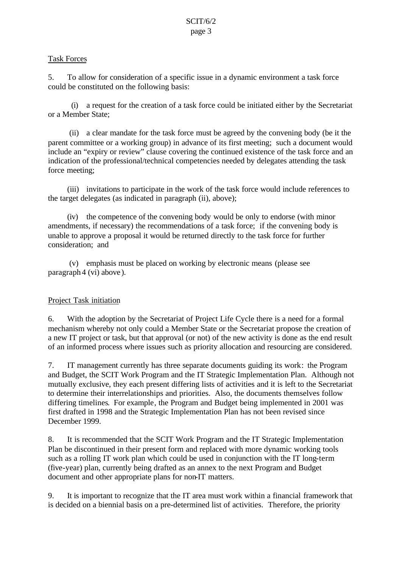## Task Forces

5. To allow for consideration of a specific issue in a dynamic environment a task force could be constituted on the following basis:

 (i) a request for the creation of a task force could be initiated either by the Secretariat or a Member State;

 (ii) a clear mandate for the task force must be agreed by the convening body (be it the parent committee or a working group) in advance of its first meeting; such a document would include an "expiry or review" clause covering the continued existence of the task force and an indication of the professional/technical competencies needed by delegates attending the task force meeting;

(iii) invitations to participate in the work of the task force would include references to the target delegates (as indicated in paragraph (ii), above);

(iv) the competence of the convening body would be only to endorse (with minor amendments, if necessary) the recommendations of a task force; if the convening body is unable to approve a proposal it would be returned directly to the task force for further consideration; and

 (v) emphasis must be placed on working by electronic means (please see paragraph 4 (vi) above ).

#### Project Task initiation

6. With the adoption by the Secretariat of Project Life Cycle there is a need for a formal mechanism whereby not only could a Member State or the Secretariat propose the creation of a new IT project or task, but that approval (or not) of the new activity is done as the end result of an informed process where issues such as priority allocation and resourcing are considered.

7. IT management currently has three separate documents guiding its work: the Program and Budget, the SCIT Work Program and the IT Strategic Implementation Plan. Although not mutually exclusive, they each present differing lists of activities and it is left to the Secretariat to determine their interrelationships and priorities. Also, the documents themselves follow differing timelines. For example, the Program and Budget being implemented in 2001 was first drafted in 1998 and the Strategic Implementation Plan has not been revised since December 1999.

8. It is recommended that the SCIT Work Program and the IT Strategic Implementation Plan be discontinued in their present form and replaced with more dynamic working tools such as a rolling IT work plan which could be used in conjunction with the IT long-term (five-year) plan, currently being drafted as an annex to the next Program and Budget document and other appropriate plans for non-IT matters.

9. It is important to recognize that the IT area must work within a financial framework that is decided on a biennial basis on a pre-determined list of activities. Therefore, the priority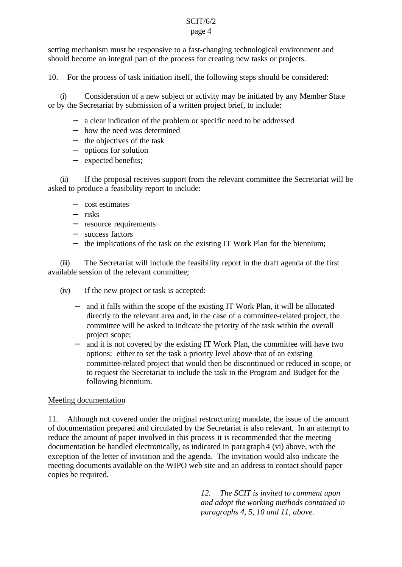## SCIT/6/2

#### page 4

setting mechanism must be responsive to a fast-changing technological environment and should become an integral part of the process for creating new tasks or projects.

10. For the process of task initiation itself, the following steps should be considered:

(i) Consideration of a new subject or activity may be initiated by any Member State or by the Secretariat by submission of a written project brief, to include:

- − a clear indication of the problem or specific need to be addressed
- − how the need was determined
- − the objectives of the task
- − options for solution
- − expected benefits;

(ii) If the proposal receives support from the relevant committee the Secretariat will be asked to produce a feasibility report to include:

- − cost estimates
- − risks
- − resource requirements
- − success factors
- − the implications of the task on the existing IT Work Plan for the biennium;

(iii) The Secretariat will include the feasibility report in the draft agenda of the first available session of the relevant committee;

- (iv) If the new project or task is accepted:
	- − and it falls within the scope of the existing IT Work Plan, it will be allocated directly to the relevant area and, in the case of a committee-related project, the committee will be asked to indicate the priority of the task within the overall project scope;
	- − and it is not covered by the existing IT Work Plan, the committee will have two options: either to set the task a priority level above that of an existing committee-related project that would then be discontinued or reduced in scope, or to request the Secretariat to include the task in the Program and Budget for the following biennium.

# Meeting documentation

11. Although not covered under the original restructuring mandate, the issue of the amount of documentation prepared and circulated by the Secretariat is also relevant. In an attempt to reduce the amount of paper involved in this process it is recommended that the meeting documentation be handled electronically, as indicated in paragraph 4 (vi) above, with the exception of the letter of invitation and the agenda. The invitation would also indicate the meeting documents available on the WIPO web site and an address to contact should paper copies be required.

> *12. The SCIT is invited to comment upon and adopt the working methods contained in paragraphs 4, 5, 10 and 11, above.*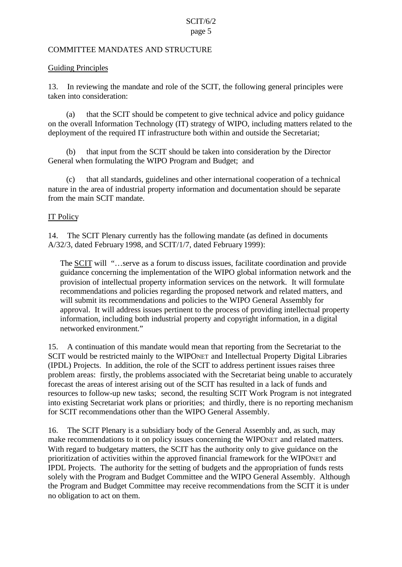## COMMITTEE MANDATES AND STRUCTURE

#### Guiding Principles

13. In reviewing the mandate and role of the SCIT, the following general principles were taken into consideration:

(a) that the SCIT should be competent to give technical advice and policy guidance on the overall Information Technology (IT) strategy of WIPO, including matters related to the deployment of the required IT infrastructure both within and outside the Secretariat;

(b) that input from the SCIT should be taken into consideration by the Director General when formulating the WIPO Program and Budget; and

(c) that all standards, guidelines and other international cooperation of a technical nature in the area of industrial property information and documentation should be separate from the main SCIT mandate.

# IT Policy

14. The SCIT Plenary currently has the following mandate (as defined in documents A/32/3, dated February 1998, and SCIT/1/7, dated February 1999):

The SCIT will "…serve as a forum to discuss issues, facilitate coordination and provide guidance concerning the implementation of the WIPO global information network and the provision of intellectual property information services on the network. It will formulate recommendations and policies regarding the proposed network and related matters, and will submit its recommendations and policies to the WIPO General Assembly for approval. It will address issues pertinent to the process of providing intellectual property information, including both industrial property and copyright information, in a digital networked environment."

15. A continuation of this mandate would mean that reporting from the Secretariat to the SCIT would be restricted mainly to the WIPONET and Intellectual Property Digital Libraries (IPDL) Projects. In addition, the role of the SCIT to address pertinent issues raises three problem areas: firstly, the problems associated with the Secretariat being unable to accurately forecast the areas of interest arising out of the SCIT has resulted in a lack of funds and resources to follow-up new tasks; second, the resulting SCIT Work Program is not integrated into existing Secretariat work plans or priorities; and thirdly, there is no reporting mechanism for SCIT recommendations other than the WIPO General Assembly.

16. The SCIT Plenary is a subsidiary body of the General Assembly and, as such, may make recommendations to it on policy issues concerning the WIPONET and related matters. With regard to budgetary matters, the SCIT has the authority only to give guidance on the prioritization of activities within the approved financial framework for the WIPONET and IPDL Projects. The authority for the setting of budgets and the appropriation of funds rests solely with the Program and Budget Committee and the WIPO General Assembly. Although the Program and Budget Committee may receive recommendations from the SCIT it is under no obligation to act on them.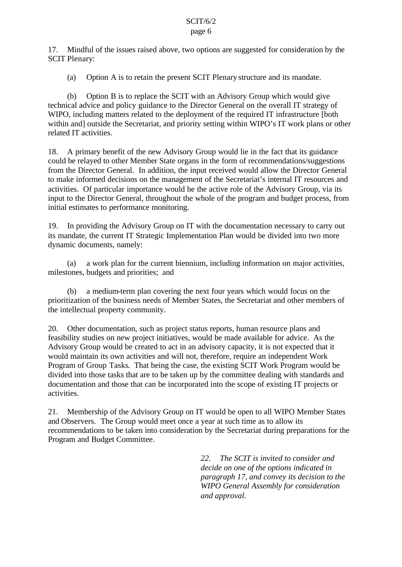## page 6

17. Mindful of the issues raised above, two options are suggested for consideration by the SCIT Plenary:

(a) Option A is to retain the present SCIT Plenary structure and its mandate.

(b) Option B is to replace the SCIT with an Advisory Group which would give technical advice and policy guidance to the Director General on the overall IT strategy of WIPO, including matters related to the deployment of the required IT infrastructure [both within and] outside the Secretariat, and priority setting within WIPO's IT work plans or other related IT activities.

18. A primary benefit of the new Advisory Group would lie in the fact that its guidance could be relayed to other Member State organs in the form of recommendations/suggestions from the Director General. In addition, the input received would allow the Director General to make informed decisions on the management of the Secretariat's internal IT resources and activities. Of particular importance would be the active role of the Advisory Group, via its input to the Director General, throughout the whole of the program and budget process, from initial estimates to performance monitoring.

19. In providing the Advisory Group on IT with the documentation necessary to carry out its mandate, the current IT Strategic Implementation Plan would be divided into two more dynamic documents, namely:

(a) a work plan for the current biennium, including information on major activities, milestones, budgets and priorities; and

(b) a medium-term plan covering the next four years which would focus on the prioritization of the business needs of Member States, the Secretariat and other members of the intellectual property community.

20. Other documentation, such as project status reports, human resource plans and feasibility studies on new project initiatives, would be made available for advice. As the Advisory Group would be created to act in an advisory capacity, it is not expected that it would maintain its own activities and will not, therefore, require an independent Work Program of Group Tasks. That being the case, the existing SCIT Work Program would be divided into those tasks that are to be taken up by the committee dealing with standards and documentation and those that can be incorporated into the scope of existing IT projects or activities.

21. Membership of the Advisory Group on IT would be open to all WIPO Member States and Observers. The Group would meet once a year at such time as to allow its recommendations to be taken into consideration by the Secretariat during preparations for the Program and Budget Committee.

> *22. The SCIT is invited to consider and decide on one of the options indicated in paragraph 17, and convey its decision to the WIPO General Assembly for consideration and approval.*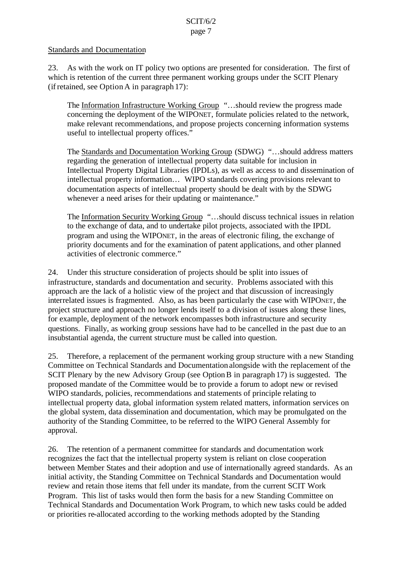#### SCIT/6/2 page 7

# Standards and Documentation

23. As with the work on IT policy two options are presented for consideration. The first of which is retention of the current three permanent working groups under the SCIT Plenary (ifretained, see Option A in paragraph 17):

The Information Infrastructure Working Group "…should review the progress made concerning the deployment of the WIPONET, formulate policies related to the network, make relevant recommendations, and propose projects concerning information systems useful to intellectual property offices."

The Standards and Documentation Working Group (SDWG) "…should address matters regarding the generation of intellectual property data suitable for inclusion in Intellectual Property Digital Libraries (IPDLs), as well as access to and dissemination of intellectual property information… WIPO standards covering provisions relevant to documentation aspects of intellectual property should be dealt with by the SDWG whenever a need arises for their updating or maintenance."

The Information Security Working Group "…should discuss technical issues in relation to the exchange of data, and to undertake pilot projects, associated with the IPDL program and using the WIPONET, in the areas of electronic filing, the exchange of priority documents and for the examination of patent applications, and other planned activities of electronic commerce."

24. Under this structure consideration of projects should be split into issues of infrastructure, standards and documentation and security. Problems associated with this approach are the lack of a holistic view of the project and that discussion of increasingly interrelated issues is fragmented. Also, as has been particularly the case with WIPONET, the project structure and approach no longer lends itself to a division of issues along these lines, for example, deployment of the network encompasses both infrastructure and security questions. Finally, as working group sessions have had to be cancelled in the past due to an insubstantial agenda, the current structure must be called into question.

25. Therefore, a replacement of the permanent working group structure with a new Standing Committee on Technical Standards and Documentation alongside with the replacement of the SCIT Plenary by the new Advisory Group (see Option B in paragraph 17) is suggested. The proposed mandate of the Committee would be to provide a forum to adopt new or revised WIPO standards, policies, recommendations and statements of principle relating to intellectual property data, global information system related matters, information services on the global system, data dissemination and documentation, which may be promulgated on the authority of the Standing Committee, to be referred to the WIPO General Assembly for approval.

26. The retention of a permanent committee for standards and documentation work recognizes the fact that the intellectual property system is reliant on close cooperation between Member States and their adoption and use of internationally agreed standards. As an initial activity, the Standing Committee on Technical Standards and Documentation would review and retain those items that fell under its mandate, from the current SCIT Work Program. This list of tasks would then form the basis for a new Standing Committee on Technical Standards and Documentation Work Program, to which new tasks could be added or priorities re-allocated according to the working methods adopted by the Standing